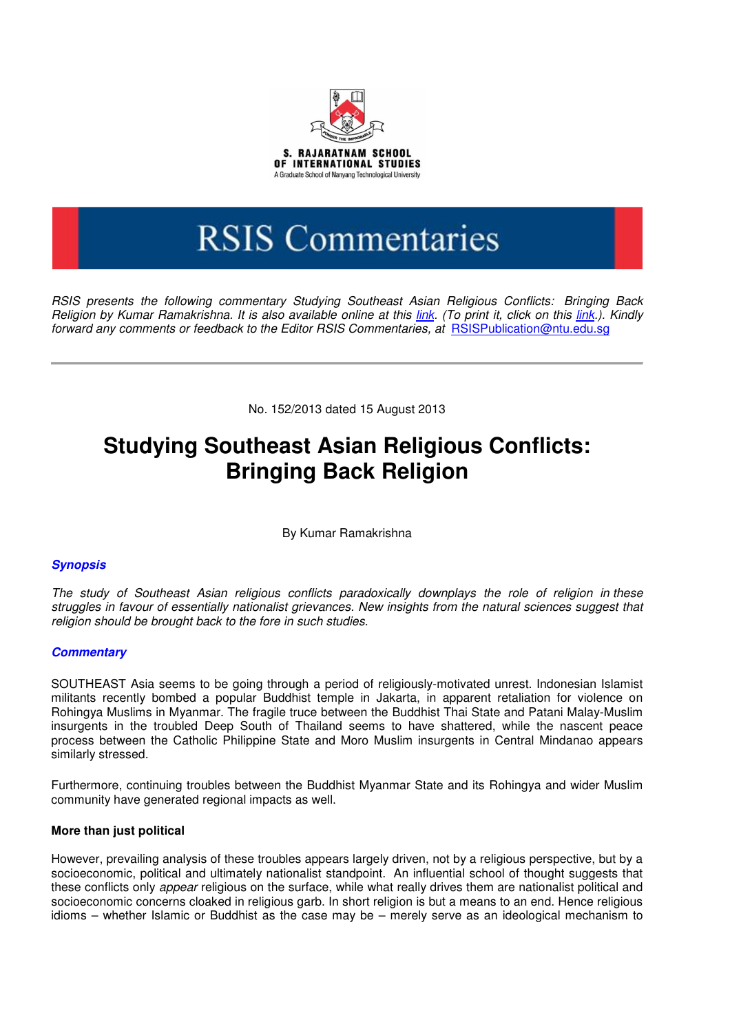

# **RSIS Commentaries**

RSIS presents the following commentary Studying Southeast Asian Religious Conflicts: Bringing Back Religion by Kumar Ramakrishna. It is also available online at this link. (To print it, click on this link.). Kindly forward any comments or feedback to the Editor RSIS Commentaries, at RSISPublication@ntu.edu.sg

No. 152/2013 dated 15 August 2013

## **Studying Southeast Asian Religious Conflicts: Bringing Back Religion**

By Kumar Ramakrishna

### **Synopsis**

The study of Southeast Asian religious conflicts paradoxically downplays the role of religion in these struggles in favour of essentially nationalist grievances. New insights from the natural sciences suggest that religion should be brought back to the fore in such studies.

### **Commentary**

SOUTHEAST Asia seems to be going through a period of religiously-motivated unrest. Indonesian Islamist militants recently bombed a popular Buddhist temple in Jakarta, in apparent retaliation for violence on Rohingya Muslims in Myanmar. The fragile truce between the Buddhist Thai State and Patani Malay-Muslim insurgents in the troubled Deep South of Thailand seems to have shattered, while the nascent peace process between the Catholic Philippine State and Moro Muslim insurgents in Central Mindanao appears similarly stressed.

Furthermore, continuing troubles between the Buddhist Myanmar State and its Rohingya and wider Muslim community have generated regional impacts as well.

### **More than just political**

However, prevailing analysis of these troubles appears largely driven, not by a religious perspective, but by a socioeconomic, political and ultimately nationalist standpoint. An influential school of thought suggests that these conflicts only appear religious on the surface, while what really drives them are nationalist political and socioeconomic concerns cloaked in religious garb. In short religion is but a means to an end. Hence religious idioms – whether Islamic or Buddhist as the case may be – merely serve as an ideological mechanism to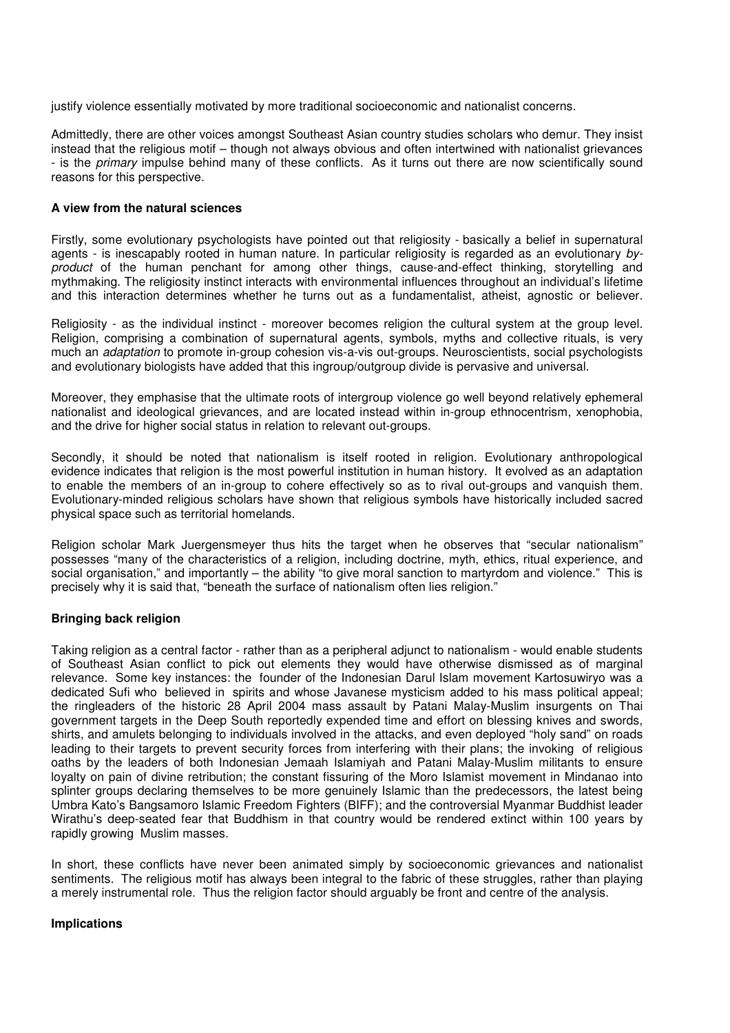justify violence essentially motivated by more traditional socioeconomic and nationalist concerns.

Admittedly, there are other voices amongst Southeast Asian country studies scholars who demur. They insist instead that the religious motif – though not always obvious and often intertwined with nationalist grievances - is the *primary* impulse behind many of these conflicts. As it turns out there are now scientifically sound reasons for this perspective.

#### **A view from the natural sciences**

Firstly, some evolutionary psychologists have pointed out that religiosity - basically a belief in supernatural agents - is inescapably rooted in human nature. In particular religiosity is regarded as an evolutionary byproduct of the human penchant for among other things, cause-and-effect thinking, storytelling and mythmaking. The religiosity instinct interacts with environmental influences throughout an individual's lifetime and this interaction determines whether he turns out as a fundamentalist, atheist, agnostic or believer.

Religiosity - as the individual instinct - moreover becomes religion the cultural system at the group level. Religion, comprising a combination of supernatural agents, symbols, myths and collective rituals, is very much an *adaptation* to promote in-group cohesion vis-a-vis out-groups. Neuroscientists, social psychologists and evolutionary biologists have added that this ingroup/outgroup divide is pervasive and universal.

Moreover, they emphasise that the ultimate roots of intergroup violence go well beyond relatively ephemeral nationalist and ideological grievances, and are located instead within in-group ethnocentrism, xenophobia, and the drive for higher social status in relation to relevant out-groups.

Secondly, it should be noted that nationalism is itself rooted in religion. Evolutionary anthropological evidence indicates that religion is the most powerful institution in human history. It evolved as an adaptation to enable the members of an in-group to cohere effectively so as to rival out-groups and vanquish them. Evolutionary-minded religious scholars have shown that religious symbols have historically included sacred physical space such as territorial homelands.

Religion scholar Mark Juergensmeyer thus hits the target when he observes that "secular nationalism" possesses "many of the characteristics of a religion, including doctrine, myth, ethics, ritual experience, and social organisation," and importantly – the ability "to give moral sanction to martyrdom and violence." This is precisely why it is said that, "beneath the surface of nationalism often lies religion."

### **Bringing back religion**

Taking religion as a central factor - rather than as a peripheral adjunct to nationalism - would enable students of Southeast Asian conflict to pick out elements they would have otherwise dismissed as of marginal relevance. Some key instances: the founder of the Indonesian Darul Islam movement Kartosuwiryo was a dedicated Sufi who believed in spirits and whose Javanese mysticism added to his mass political appeal; the ringleaders of the historic 28 April 2004 mass assault by Patani Malay-Muslim insurgents on Thai government targets in the Deep South reportedly expended time and effort on blessing knives and swords, shirts, and amulets belonging to individuals involved in the attacks, and even deployed "holy sand" on roads leading to their targets to prevent security forces from interfering with their plans; the invoking of religious oaths by the leaders of both Indonesian Jemaah Islamiyah and Patani Malay-Muslim militants to ensure loyalty on pain of divine retribution; the constant fissuring of the Moro Islamist movement in Mindanao into splinter groups declaring themselves to be more genuinely Islamic than the predecessors, the latest being Umbra Kato's Bangsamoro Islamic Freedom Fighters (BIFF); and the controversial Myanmar Buddhist leader Wirathu's deep-seated fear that Buddhism in that country would be rendered extinct within 100 years by rapidly growing Muslim masses.

In short, these conflicts have never been animated simply by socioeconomic grievances and nationalist sentiments. The religious motif has always been integral to the fabric of these struggles, rather than playing a merely instrumental role. Thus the religion factor should arguably be front and centre of the analysis.

#### **Implications**